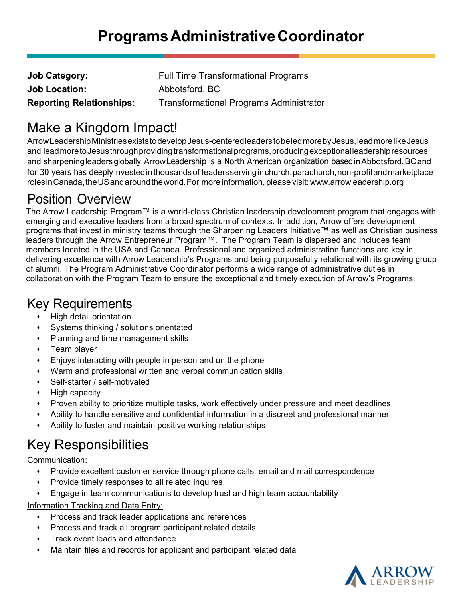| <b>Job Category:</b>            | <b>Full Time Transformational Programs</b>     |
|---------------------------------|------------------------------------------------|
| <b>Job Location:</b>            | Abbotsford, BC                                 |
| <b>Reporting Relationships:</b> | <b>Transformational Programs Administrator</b> |

# Make a Kingdom Impact!

Arrow Leadership Ministries exists to develop Jesus-centered leaders to be led more by Jesus, lead more like Jesus and lead more to Jesus through providing transformational programs, producing exceptional leadership resources and sharpening leaders globally. Arrow Leadership is a North American organization based in Abbotsford, BC and for 30 years has deeply invested in thousands of leaders serving in church, parachurch, non-profit and marketplace roles in Canada, the US and around the world. For more information, please visit: www.arrowleadership.org

### Position Overview

The Arrow Leadership Program™ is a world-class Christian leadership development program that engages with emerging and executive leaders from a broad spectrum of contexts. In addition, Arrow offers development programs that invest in ministry teams through the Sharpening Leaders Initiative™ as well as Christian business leaders through the Arrow Entrepreneur Program™. The Program Team is dispersed and includes team members located in the USA and Canada. Professional and organized administration functions are key in delivering excellence with Arrow Leadership's Programs and being purposefully relational with its growing group of alumni. The Program Administrative Coordinator performs a wide range of administrative duties in collaboration with the Program Team to ensure the exceptional and timely execution of Arrow's Programs.

### Key Requirements

- High detail orientation
- Systems thinking / solutions orientated
- Planning and time management skills
- Team player
- Enjoys interacting with people in person and on the phone
- Warm and professional written and verbal communication skills
- Self-starter / self-motivated
- High capacity
- Proven ability to prioritize multiple tasks, work effectively under pressure and meet deadlines
- Ability to handle sensitive and confidential information in a discreet and professional manner
- Ability to foster and maintain positive working relationships

# Key Responsibilities

Communication:

- Provide excellent customer service through phone calls, email and mail correspondence
- Provide timely responses to all related inquires
- Engage in team communications to develop trust and high team accountability

#### Information Tracking and Data Entry:

- Process and track leader applications and references
- Process and track all program participant related details
- Track event leads and attendance
- Maintain files and records for applicant and participant related data